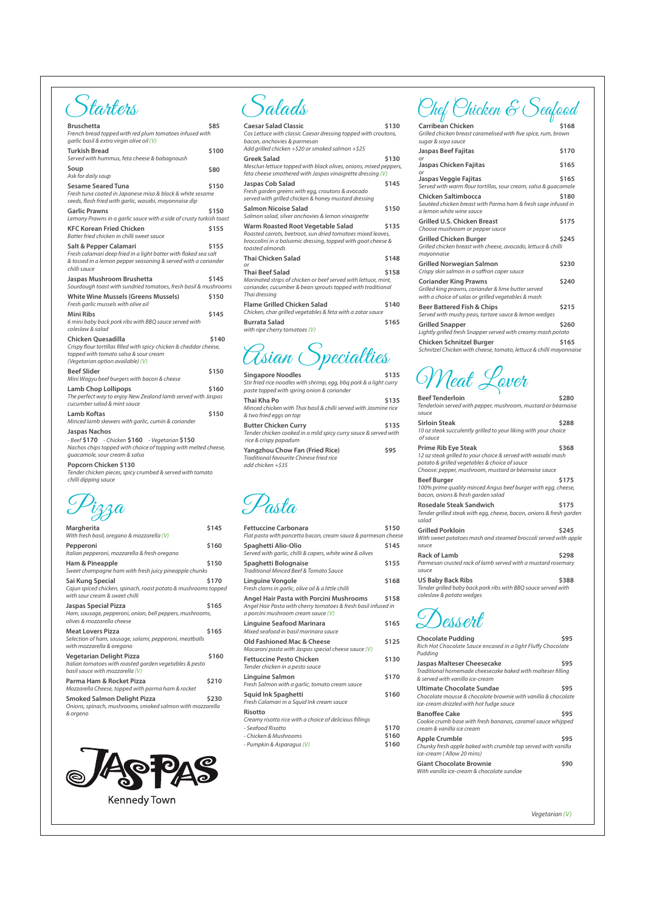| υ                                                                                         |       |
|-------------------------------------------------------------------------------------------|-------|
| <b>Carribean Chicken</b>                                                                  | \$168 |
| Grilled chicken breast caramelised with five spice, rum, brown                            |       |
| sugar & soya sauce                                                                        |       |
| Jaspas Beef Fajitas<br>or                                                                 | \$170 |
| Jaspas Chicken Fajitas<br>or                                                              | \$165 |
| Jaspas Veggie Fajitas<br>Served with warm flour tortillas, sour cream, salsa & guacamole  | \$165 |
| Chicken Saltimbocca                                                                       | \$180 |
| Sautéed chicken breast with Parma ham & fresh sage infused in<br>a lemon white wine sauce |       |
| <b>Grilled U.S. Chicken Breast</b><br>Choose mushroom or pepper sauce                     | \$175 |
|                                                                                           |       |
| Grilled Chicken Burger                                                                    | \$245 |
| Grilled chicken breast with cheese, avocado, lettuce & chilli<br>mayonnaise               |       |
| Grilled Norwegian Salmon                                                                  | \$230 |
| Crispy skin salmon in a saffron caper sauce                                               |       |
| <b>Coriander King Prawns</b>                                                              | \$240 |
| Grilled king prawns, coriander & lime butter served                                       |       |
| with a choice of salas or grilled vegetables & mash                                       |       |
| Beer Battered Fish & Chips                                                                | \$215 |
| Served with mushy peas, tartare sauce & lemon wedges                                      |       |
| <b>Grilled Snapper</b>                                                                    | \$260 |
| Lightly grilled fresh Snapper served with creamy mash potato                              |       |
| Chicken Schnitzel Burger                                                                  | \$165 |
| Schnitzel Chicken with cheese, tomato, lettuce & chilli mayonnaise                        |       |
|                                                                                           |       |

Chef Chicken & Seafood

| <b>Bruschetta</b><br>French bread topped with red plum tomatoes infused with<br>garlic basil & extra virgin olive oil (V)                                                     | \$85  |
|-------------------------------------------------------------------------------------------------------------------------------------------------------------------------------|-------|
| <b>Turkish Bread</b><br>Served with hummus, feta cheese & babagnoush                                                                                                          | \$100 |
| Soup<br>Ask for daily soup                                                                                                                                                    | \$80  |
| <b>Sesame Seared Tuna</b><br>Fresh tuna coated in Japanese miso & black & white sesame<br>seeds, flash fried with garlic, wasabi, mayonnaise dip                              | \$150 |
| <b>Garlic Prawns</b><br>Lemony Prawns in a garlic sauce with a side of crusty turkish toast                                                                                   | \$150 |
| <b>KFC Korean Fried Chicken</b><br>Batter fried chicken in chilli sweet sauce                                                                                                 | \$155 |
| Salt & Pepper Calamari<br>Fresh calamari deep fried in a light batter with flaked sea salt<br>& tossed in a lemon pepper seasoning & served with a coriander<br>chilli sauce  | \$155 |
| Jaspas Mushroom Brushetta<br>Sourdough toast with sundried tomatoes, fresh basil & mushrooms                                                                                  | \$145 |
| <b>White Wine Mussels (Greens Mussels)</b><br>Fresh garlic mussels with olive oil                                                                                             | \$150 |
| Mini Ribs<br>6 mini baby back pork ribs with BBQ sauce served with<br>coleslaw & salad                                                                                        | \$145 |
| Chicken Ouesadilla<br>Crispy flour tortillas filled with spicy chicken & cheddar cheese,<br>topped with tomato salsa & sour cream<br>(Vegetarian option available) (V)        | \$140 |
| <b>Beef Slider</b><br>Mini Wagyu beef burgers with bacon & cheese                                                                                                             | \$150 |
| <b>Lamb Chop Lollipops</b><br>The perfect way to enjoy New Zealand lamb served with Jaspas<br>cucumber salad & mint sauce                                                     | \$160 |
| Lamb Koftas<br>Minced lamb skewers with garlic, cumin & coriander                                                                                                             | \$150 |
| Jaspas Nachos<br>- Beef <b>\$170</b><br>- Chicken \$160 - Vegetarian \$150<br>Nachos chips topped with choice of topping with melted cheese,<br>guacamole, sour cream & salsa |       |

**Popcorn Chicken \$130** *Tender chicken pieces, spicy crumbed & served with tomato chilli dipping sauce*

# Starters

Squid Ink Spaghetti **\$160** *Fresh Calamari in a Squid Ink cream sauce*

**Singapore Noodles** *Stir fried rice noodles with shrimp, egg, bbq pork & a light curry paste topped with spring onion & coriander* Thai Kha Po **\$135** *Minced chicken with Thai basil & chilli served with Jasmine rice & two fried eggs on top* **Butter Chicken Curry \$135** *Tender chicken cooked in a mild spicy curry sauce & served with rice & crispy papadum* **Yangzhou Chow Fan (Fried Rice) \$95** *Traditional favourite Chinese fried rice add chicken +\$35*

| <b>Caesar Salad Classic</b><br>Cos Lettuce with classic Caesar dressing topped with croutons,<br>bacon, anchovies & parmesan<br>Add grilled chicken $+$ \$20 or smoked salmon $+$ \$25 | \$130 |
|----------------------------------------------------------------------------------------------------------------------------------------------------------------------------------------|-------|
| Greek Salad<br>Mesclun lettuce topped with black olives, onions, mixed peppers,<br>feta cheese smothered with Jaspas vinaigrette dressing (V)                                          | \$130 |
| Jaspas Cob Salad<br>Fresh garden greens with egg, croutons & avocado<br>served with grilled chicken & honey mustard dressing                                                           | \$145 |
| Salmon Nicoise Salad<br>Salmon salad, silver anchovies & lemon vinaigrette                                                                                                             | \$150 |
| Warm Roasted Root Vegetable Salad<br>Roasted carrots, beetroot, sun dried tomatoes mixed leaves,<br>broccolini in a balsamic dressing, topped with goat cheese &<br>toasted almonds    | \$135 |
| <b>Thai Chicken Salad</b><br>or                                                                                                                                                        | \$148 |
| Thai Beef Salad<br>Marinated strips of chicken or beef served with lettuce, mint,<br>coriander, cucumber & bean sprouts topped with traditional<br>Thai dressing                       | \$158 |
| <b>Flame Grilled Chicken Salad</b><br>Chicken, char grilled vegetables & feta with a zatar sauce                                                                                       | \$140 |
| Burrata Salad<br>with ripe cherry tomatoes $(V)$                                                                                                                                       | \$165 |

Gsian Specialties

Salads

| Margherita<br>With fresh basil, oregano & mozzarella (V)                                                                      | \$145       |
|-------------------------------------------------------------------------------------------------------------------------------|-------------|
| Pepperoni<br>Italian pepperoni, mozzarella & fresh oregano                                                                    | \$160       |
| Ham & Pineapple<br>Sweet champagne ham with fresh juicy pineapple chunks                                                      | \$150       |
| Sai Kung Special<br>Cajun spiced chicken, spinach, roast potato & mushrooms topped<br>with sour cream & sweet chilli          | \$170       |
| Jaspas Special Pizza<br>Ham, sausage, pepperoni, onion, bell peppers, mushrooms,<br>olives & mozzarella cheese                | \$165       |
| <b>Meat Lovers Pizza</b><br>Selection of ham, sausage, salami, pepperoni, meatballs<br>with mozzarella & oregano              | \$165       |
| <b>Vegetarian Delight Pizza</b><br>Italian tomatoes with roasted garden vegetables & pesto<br>basil sauce with mozzarella (V) | \$160       |
| Parma Ham & Rocket Pizza                                                                                                      | <b>S210</b> |

*Mozzarella Cheese, topped with parma ham & rocket*

**Smoked Salmon Delight Pizza \$230** *Onions, spinach, mushrooms, smoked salmon with mozzarella & orgeno*



| <b>Fettuccine Carbonara</b><br>Flat pasta with pancetta bacon, cream sauce & parmesan cheese                                                           | \$150 |
|--------------------------------------------------------------------------------------------------------------------------------------------------------|-------|
| Spaghetti Alio-Olio<br>Served with garlic, chilli & capers, white wine & olives                                                                        | \$145 |
| Spaghetti Bolognaise<br>Traditional Minced Beef & Tomato Sauce                                                                                         | \$155 |
| Linguine Vongole<br>Fresh clams in garlic, olive oil & a little chilli                                                                                 | \$168 |
| <b>Angel Hair Pasta with Porcini Mushrooms</b><br>Angel Hair Pasta with cherry tomatoes & fresh basil infused in<br>a porcini mushroom cream sauce (V) | \$158 |
| Linguine Seafood Marinara<br>Mixed seafood in basil marinara sauce                                                                                     | \$165 |
| Old Fashioned Mac & Cheese<br>Macaroni pasta with Jaspas special cheese sauce (V)                                                                      | \$125 |
| Fettuccine Pesto Chicken<br>Tender chicken in a pesto sauce                                                                                            | \$130 |
| Linguine Salmon<br>Fresh Salmon with a garlic, tomato cream sauce                                                                                      | \$170 |

#### **Risotto**

*Creamy risotto rice with a choice of delicious llings*

*- Seafood Risotto* **\$170**

*- Chicken & Mushrooms* **\$160**

*- Pumpkin & Asparagus (V)* **\$160**

Pasta

| <b>Beef Tenderloin</b>                                                                              | \$280 |
|-----------------------------------------------------------------------------------------------------|-------|
| Tenderloin served with pepper, mushroom, mustard or béarnaise                                       |       |
| sauce                                                                                               |       |
| <b>Sirloin Steak</b>                                                                                | \$288 |
| 10 oz steak succulently grilled to your liking with your choice<br>of sauce                         |       |
| <b>Prime Rib Eye Steak</b>                                                                          | \$368 |
| 12 oz steak grilled to your choice & served with wasabi mash                                        |       |
| potato & grilled vegetables & choice of sauce                                                       |       |
| Choose: pepper, mushroom, mustard or béarnaise sauce                                                |       |
| <b>Beef Burger</b>                                                                                  | \$175 |
| 100% prime quality minced Angus beef burger with egg, cheese,<br>bacon, onions & fresh garden salad |       |
| <b>Rosedale Steak Sandwich</b>                                                                      | \$175 |
| Tender grilled steak with egg, cheese, bacon, onions & fresh garden<br>salad                        |       |
| <b>Grilled Porkloin</b>                                                                             | \$245 |
| With sweet potatoes mash and steamed broccoli served with apple                                     |       |
| sauce                                                                                               |       |
| <b>Rack of Lamb</b>                                                                                 | \$298 |
| Parmesan crusted rack of lamb served with a mustard rosemary                                        |       |
| sauce                                                                                               |       |
| <b>US Baby Back Ribs</b>                                                                            | \$388 |
| Tender grilled baby back pork ribs with BBQ sauce served with                                       |       |
| coleslaw & potato wedges                                                                            |       |
|                                                                                                     |       |
| Dessert                                                                                             |       |
|                                                                                                     |       |
|                                                                                                     |       |

Meat Lover

| <b>Chocolate Pudding</b><br>Rich Hot Chocolate Sauce encased in a light Fluffy Chocolate<br>Pudding                                 | \$95 |
|-------------------------------------------------------------------------------------------------------------------------------------|------|
| <b>Jaspas Malteser Cheesecake</b><br>Traditional homemade cheesecake baked with malteser filling<br>& served with vanilla ice-cream | \$95 |
| Ultimate Chacolate Sundae                                                                                                           | COE  |

**Ultimate Chocolate Sundae \$95** *Chocolate mousse & chocolate brownie with vanilla & chocolate ice-cream drizzled with hot fudge sauce* **Banoffee Cake** \$95 *Cookie crumb base with fresh bananas, caramel sauce whipped cream & vanilla ice cream* Apple Crumble **\$95** *Chunky fresh apple baked with crumble top served with vanilla ice-cream ( Allow 20 mins)* **Giant Chocolate Brownie**  $\qquad$ **\$90** *With vanilla ice-cream & chocolate sundae*

*Vegetarian (V)*